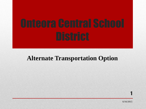## **Alternate Transportation Option**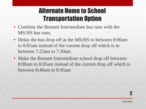# Alternate Home to School Transportation Option

- Combine the Bennett Intermediate bus runs with the MS/HS bus runs.
- Delay the bus drop off at the MS/HS to between 8:00am to 8:05am instead of the current drop off which is in between 7:25am to 7:30am
- Make the Bennett Intermediate school drop off between 8:00am to 8:05am instead of the current drop off which is between 8:40am to 8:45am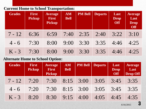#### **Current Home to School Transportation:**

| <b>Grades</b> | <b>First</b><br><b>Pickup</b> | <b>Average</b><br><b>First</b><br><b>Pickup</b> | <b>AM</b><br><b>Bell</b> | <b>PM Bell</b> | <b>Departs</b> | Last<br><b>Drop</b><br><b>Off</b> | <b>Average</b><br>Last<br><b>Drop</b><br>Off |
|---------------|-------------------------------|-------------------------------------------------|--------------------------|----------------|----------------|-----------------------------------|----------------------------------------------|
| $7 - 12$      | 6:36                          | 6:59                                            | 7:40                     | 2:35           | 2:40           | 3:22                              | 3:10                                         |
| $4 - 6$       | 7:30                          | 8:00                                            | 9:00                     | 3:30           | 3:35           | 4:46                              | 4:25                                         |
| $K - 3$       | 7:30                          | 8:00                                            | 9:00                     | 3:30           | 3:35           | 4:46                              | 4:25                                         |

#### **Alternate Home to School Option:**

| <b>Grades</b> | <b>First</b><br><b>Pickup</b> | <b>Average</b><br>First<br><b>Pickup</b> | <b>AM</b><br><b>Bell</b> | <b>PM Bell</b> | <b>Departs</b> | Last<br><b>Drop</b><br>Off | <b>Average</b><br>Last<br><b>Drop Off</b> |
|---------------|-------------------------------|------------------------------------------|--------------------------|----------------|----------------|----------------------------|-------------------------------------------|
| $7 - 12$      | 7:20                          | 7:30                                     |                          | $8:15$ 3:00    | 3:05           | 3:45                       | 3:35                                      |
| $4 - 6$       | 7:20                          | 7:30                                     |                          | $8:15$ 3:00    | 3:05           | 3:45                       | 3:35                                      |
| $K - 3$       | 8:20                          | 8:30                                     | 9:15                     | 4:00           | 4:05           | 4:45                       | 4:35                                      |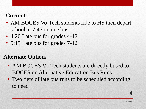### **Current:**

- AM BOCES Vo-Tech students ride to HS then depart school at 7:45 on one bus
- 4:20 Late bus for grades 4-12
- 5:15 Late bus for grades 7-12

## **Alternate Option:**

- AM BOCES Vo-Tech students are directly bused to BOCES on Alternative Education Bus Runs
- Two tiers of late bus runs to be scheduled according to need

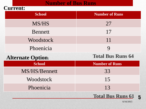#### **Number of Bus Runs**

#### **Current:**

| <b>School</b>            | <b>Number of Runs</b>    |  |  |  |
|--------------------------|--------------------------|--|--|--|
| <b>MS/HS</b>             | 27                       |  |  |  |
| <b>Bennett</b>           | 17                       |  |  |  |
| Woodstock                | 11                       |  |  |  |
| Phoenicia                | $\boldsymbol{Q}$         |  |  |  |
| <b>Alternate Option:</b> | <b>Total Bus Runs 64</b> |  |  |  |
| School                   | <b>Number of Runs</b>    |  |  |  |
| MS/HS/Bennett            | 33                       |  |  |  |
| Woodstock                | 15                       |  |  |  |
| Phoenicia                | 13                       |  |  |  |



**6/16/2015**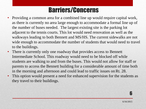# Barriers/Concerns

- Providing a common area for a combined line up would require capital work, as there is currently no area large enough to accommodate a formal line up of the number of buses needed. The largest existing site is the parking lot adjacent to the tennis courts. This lot would need renovation as well as the walkways leading to both Bennett and MS/HS. The current sidewalks are not wide enough to accommodate the number of students that would need to travel to the buildings.
- There is currently only one roadway that provides access to Bennett Intermediate School. This roadway would need to be blocked off while students are walking to and from the buses. This would not allow for staff or parents to access the Bennett building for a considerable amount of time both in the morning and afternoon and could lead to traffic issues on Rt. 28.
- This option would present a need for enhanced supervision for the students as they travel to their buildings.

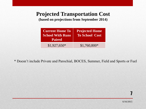## **Projected Transportation Cost**

**(based on projections from September 2014)**

| <b>Current Home To</b><br><b>School With Runs</b><br><b>Paired</b> | <b>Projected Home</b><br><b>To School Cost</b> |
|--------------------------------------------------------------------|------------------------------------------------|
|                                                                    |                                                |

\* Doesn't include Private and Parochial, BOCES, Summer, Field and Sports or Fuel